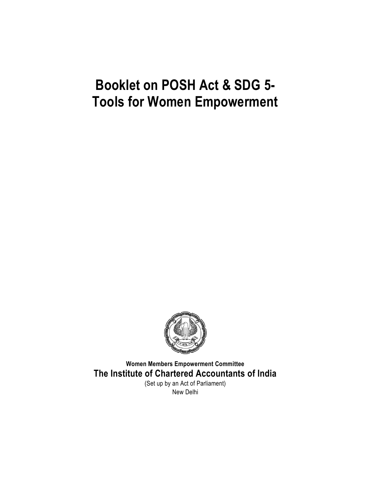

**Women Members Empowerment Committee The Institute of Chartered Accountants of India** (Set up by an Act of Parliament)

New Delhi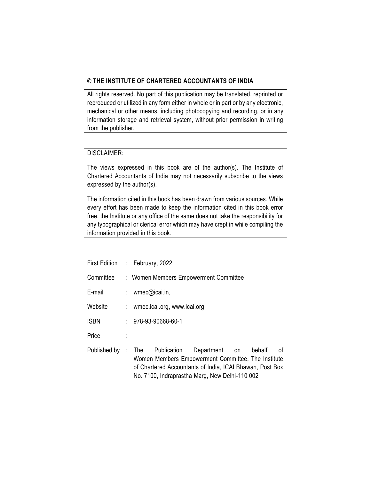#### © **THE INSTITUTE OF CHARTERED ACCOUNTANTS OF INDIA**

All rights reserved. No part of this publication may be translated, reprinted or reproduced or utilized in any form either in whole or in part or by any electronic, mechanical or other means, including photocopying and recording, or in any information storage and retrieval system, without prior permission in writing from the publisher.

#### DISCLAIMER:

The views expressed in this book are of the author(s). The Institute of Chartered Accountants of India may not necessarily subscribe to the views expressed by the author(s).

The information cited in this book has been drawn from various sources. While every effort has been made to keep the information cited in this book error free, the Institute or any office of the same does not take the responsibility for any typographical or clerical error which may have crept in while compiling the information provided in this book.

| First Edition : February, 2022 |  |                               |                                                                                                                                                                                |    |        |    |
|--------------------------------|--|-------------------------------|--------------------------------------------------------------------------------------------------------------------------------------------------------------------------------|----|--------|----|
| Committee                      |  |                               | : Women Members Empowerment Committee                                                                                                                                          |    |        |    |
| E-mail                         |  | : wmec@icai.in,               |                                                                                                                                                                                |    |        |    |
| Website                        |  | : wmec.icai.org, www.icai.org |                                                                                                                                                                                |    |        |    |
| <b>ISBN</b>                    |  | $: 978-93-90668-60-1$         |                                                                                                                                                                                |    |        |    |
| Price                          |  |                               |                                                                                                                                                                                |    |        |    |
| Published by : The             |  | Publication                   | Department<br>Women Members Empowerment Committee, The Institute<br>of Chartered Accountants of India, ICAI Bhawan, Post Box<br>No. 7100, Indraprastha Marg, New Delhi-110 002 | on | behalf | οf |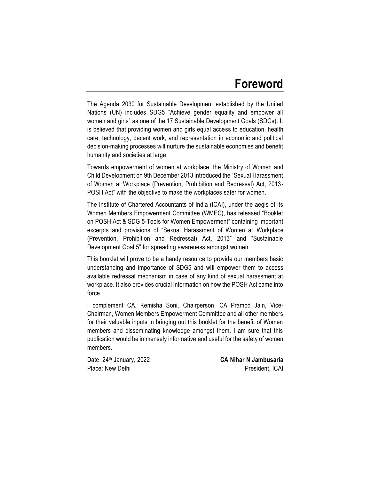## **Foreword**

The Agenda 2030 for Sustainable Development established by the United Nations (UN) includes SDG5 "Achieve gender equality and empower all women and girls" as one of the 17 Sustainable Development Goals (SDGs). It is believed that providing women and girls equal access to education, health care, technology, decent work, and representation in economic and political decision-making processes will nurture the sustainable economies and benefit humanity and societies at large.

Towards empowerment of women at workplace, the Ministry of Women and Child Development on 9th December 2013 introduced the "Sexual Harassment of Women at Workplace (Prevention, Prohibition and Redressal) Act, 2013- POSH Act" with the objective to make the workplaces safer for women.

The Institute of Chartered Accountants of India (ICAI), under the aegis of its Women Members Empowerment Committee (WMEC), has released "Booklet on POSH Act & SDG 5-Tools for Women Empowerment" containing important excerpts and provisions of "Sexual Harassment of Women at Workplace (Prevention, Prohibition and Redressal) Act, 2013" and "Sustainable Development Goal 5" for spreading awareness amongst women.

This booklet will prove to be a handy resource to provide our members basic understanding and importance of SDG5 and will empower them to access available redressal mechanism in case of any kind of sexual harassment at workplace. It also provides crucial information on how the POSH Act came into force.

I complement CA. Kemisha Soni, Chairperson, CA Pramod Jain, Vice-Chairman, Women Members Empowerment Committee and all other members for their valuable inputs in bringing out this booklet for the benefit of Women members and disseminating knowledge amongst them. I am sure that this publication would be immensely informative and useful for the safety of women members.

Date: 24th January, 2022 **CA Nihar N Jambusaria** Place: New Delhi **President, ICAI**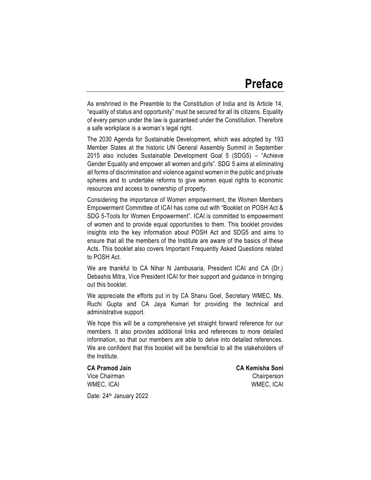As enshrined in the Preamble to the Constitution of India and its Article 14, "equality of status and opportunity" must be secured for all its citizens. Equality of every person under the law is guaranteed under the Constitution. Therefore a safe workplace is a woman's legal right.

The 2030 Agenda for Sustainable Development, which was adopted by 193 Member States at the historic UN General Assembly Summit in September 2015 also includes Sustainable Development Goal 5 (SDG5) – "Achieve Gender Equality and empower all women and girls". SDG 5 aims at eliminating all forms of discrimination and violence against women in the public and private spheres and to undertake reforms to give women equal rights to economic resources and access to ownership of property.

Considering the importance of Women empowerment, the Women Members Empowerment Committee of ICAI has come out with "Booklet on POSH Act & SDG 5-Tools for Women Empowerment". ICAI is committed to empowerment of women and to provide equal opportunities to them. This booklet provides insights into the key information about POSH Act and SDG5 and aims to ensure that all the members of the Institute are aware of the basics of these Acts. This booklet also covers Important Frequently Asked Questions related to POSH Act.

We are thankful to CA Nihar N Jambusaria, President ICAI and CA (Dr.) Debashis Mitra, Vice President ICAI for their support and guidance in bringing out this booklet.

We appreciate the efforts put in by CA Shanu Goel, Secretary WMEC, Ms. Ruchi Gupta and CA Jaya Kumari for providing the technical and administrative support.

We hope this will be a comprehensive yet straight forward reference for our members. It also provides additional links and references to more detailed information, so that our members are able to delve into detailed references. We are confident that this booklet will be beneficial to all the stakeholders of the Institute.

**CA Pramod Jain CA Kemisha Soni** Vice Chairman Chairperson WMEC, ICAI WMEC, ICAI

Date: 24<sup>th</sup> January 2022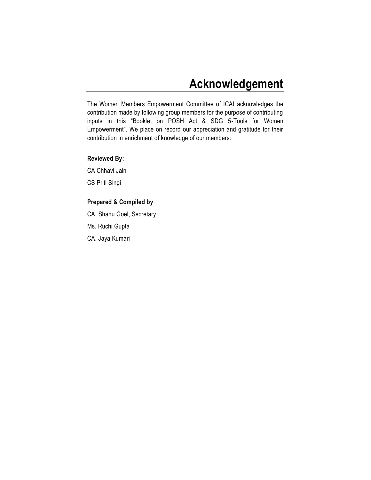## **Acknowledgement**

The Women Members Empowerment Committee of ICAI acknowledges the contribution made by following group members for the purpose of contributing inputs in this "Booklet on POSH Act & SDG 5-Tools for Women Empowerment". We place on record our appreciation and gratitude for their contribution in enrichment of knowledge of our members:

#### **Reviewed By:**

CA Chhavi Jain CS Priti Singi

### **Prepared & Compiled by**

CA. Shanu Goel, Secretary Ms. Ruchi Gupta

CA. Jaya Kumari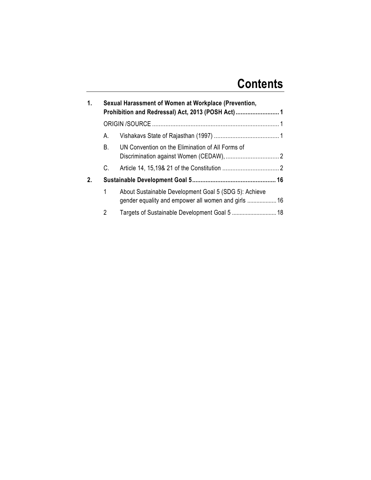# **Contents**

| 1. |    | Sexual Harassment of Women at Workplace (Prevention,<br>Prohibition and Redressal) Act, 2013 (POSH Act)  1 |  |
|----|----|------------------------------------------------------------------------------------------------------------|--|
|    |    |                                                                                                            |  |
|    | А. |                                                                                                            |  |
|    | B. | UN Convention on the Elimination of All Forms of                                                           |  |
|    | C. |                                                                                                            |  |
| 2. |    |                                                                                                            |  |
|    | 1  | About Sustainable Development Goal 5 (SDG 5): Achieve                                                      |  |
|    | 2  | Targets of Sustainable Development Goal 5  18                                                              |  |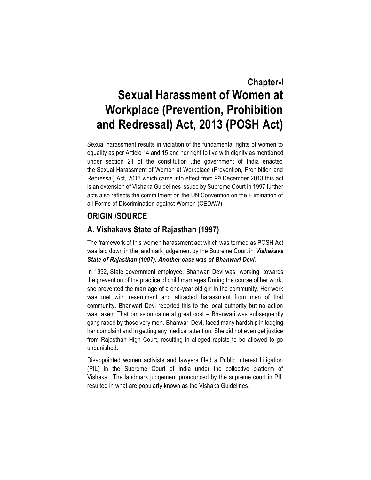## <span id="page-10-0"></span>**Chapter-I Sexual Harassment of Women at Workplace (Prevention, Prohibition and Redressal) Act, 2013 (POSH Act)**

Sexual harassment results in violation of the fundamental rights of women to equality as per Article 14 and 15 and her right to live with dignity as mentioned under section 21 of the constitution ,the government of India enacted the Sexual Harassment of Women at Workplace (Prevention, Prohibition and Redressal) Act, 2013 which came into effect from 9<sup>th</sup> December 2013 this act is an extension of Vishaka Guidelines issued by Supreme Court in 1997 further acts also reflects the commitment on the UN Convention on the Elimination of all Forms of Discrimination against Women (CEDAW).

## <span id="page-10-1"></span>**ORIGIN /SOURCE**

## <span id="page-10-2"></span>**A. Vishakavs State of Rajasthan (1997)**

The framework of this women harassment act which was termed as POSH Act was laid down in the landmark judgement by the Supreme Court in *Vishakavs State of Rajasthan (1997). Another case was of Bhanwari Devi.*

In 1992, State government employee, [Bhanwari Devi](https://en.wikipedia.org/wiki/Bhanwari_Devi) was working towards the prevention of the practice of child marriages.During the course of her work, she prevented the marriage of a one-year old girl in the community. Her work was met with resentment and attracted harassment from men of that community. Bhanwari Devi reported this to the local authority but no action was taken. That omission came at great cost – Bhanwari was subsequently gang raped by those very men. [Bhanwari Devi,](https://en.wikipedia.org/wiki/Bhanwari_Devi) faced many hardship in lodging her complaint and in getting any medical attention. She did not even get justice from Rajasthan High Court, resulting in alleged rapists to be allowed to go unpunished.

Disappointed women activists and lawyers filed a Public Interest Litigation (PIL) in the Supreme Court of India under the collective platform of Vishaka. The landmark judgement pronounced by the supreme court in PIL resulted in what are popularly known as the Vishaka Guidelines.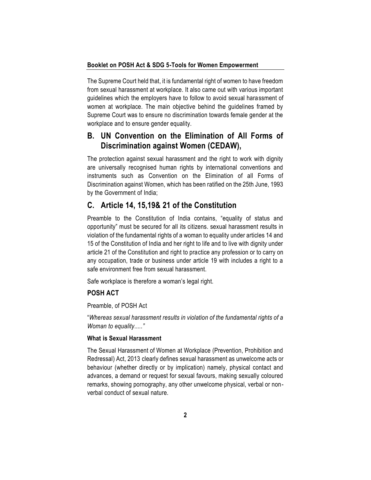The Supreme Court held that, it is fundamental right of women to have freedom from sexual harassment at workplace. It also came out with various important guidelines which the employers have to follow to avoid sexual harassment of women at workplace. The main objective behind the guidelines framed by Supreme Court was to ensure no discrimination towards female gender at the workplace and to ensure gender equality.

### <span id="page-11-0"></span>**B. UN Convention on the Elimination of All Forms of Discrimination against Women (CEDAW),**

The protection against sexual harassment and the right to work with dignity are universally recognised human rights by international conventions and instruments such as Convention on the Elimination of all Forms of Discrimination against Women, which has been ratified on the 25th June, 1993 by the Government of India;

#### <span id="page-11-1"></span>**C. Article 14, 15,19& 21 of the Constitution**

Preamble to the Constitution of India contains, "equality of status and opportunity" must be secured for all its citizens. sexual harassment results in violation of the fundamental rights of a woman to equality under articles 14 and 15 of the Constitution of India and her right to life and to live with dignity under article 21 of the Constitution and right to practice any profession or to carry on any occupation, trade or business under article 19 with includes a right to a safe environment free from sexual harassment.

Safe workplace is therefore a woman's legal right.

#### **POSH ACT**

Preamble, of POSH Act

"*Whereas sexual harassment results in violation of the fundamental rights of a Woman to equality....."* 

#### **What is Sexual Harassment**

The Sexual Harassment of Women at Workplace (Prevention, Prohibition and Redressal) Act, 2013 clearly defines sexual harassment as unwelcome acts or behaviour (whether directly or by implication) namely, physical contact and advances, a demand or request for sexual favours, making sexually coloured remarks, showing pornography, any other unwelcome physical, verbal or nonverbal conduct of sexual nature.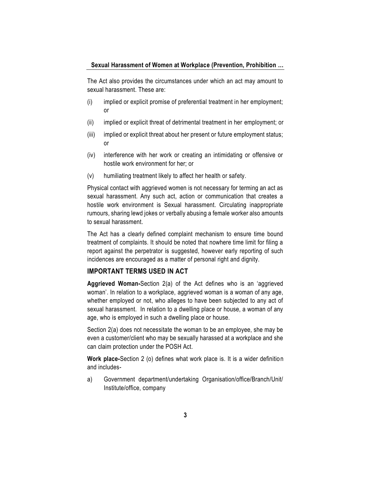The Act also provides the circumstances under which an act may amount to sexual harassment. These are:

- (i) implied or explicit promise of preferential treatment in her employment; or
- (ii) implied or explicit threat of detrimental treatment in her employment; or
- (iii) implied or explicit threat about her present or future employment status; or
- (iv) interference with her work or creating an intimidating or offensive or hostile work environment for her; or
- (v) humiliating treatment likely to affect her health or safety.

Physical contact with aggrieved women is not necessary for terming an act as sexual harassment. Any such act, action or communication that creates a hostile work environment is Sexual harassment. Circulating inappropriate rumours, sharing lewd jokes or verbally abusing a female worker also amounts to sexual harassment.

The Act has a clearly defined complaint mechanism to ensure time bound treatment of complaints. It should be noted that nowhere time limit for filing a report against the perpetrator is suggested, however early reporting of such incidences are encouraged as a matter of personal right and dignity.

#### **IMPORTANT TERMS USED IN ACT**

**Aggrieved Woman-**Section 2(a) of the Act defines who is an 'aggrieved woman'. In relation to a workplace, aggrieved woman is a woman of any age, whether employed or not, who alleges to have been subjected to any act of sexual harassment. In relation to a dwelling place or house, a woman of any age, who is employed in such a dwelling place or house.

Section 2(a) does not necessitate the woman to be an employee, she may be even a customer/client who may be sexually harassed at a workplace and she can claim protection under the POSH Act.

**Work place-**Section 2 (o) defines what work place is. It is a wider definition and includes-

a) Government department/undertaking Organisation/office/Branch/Unit/ Institute/office, company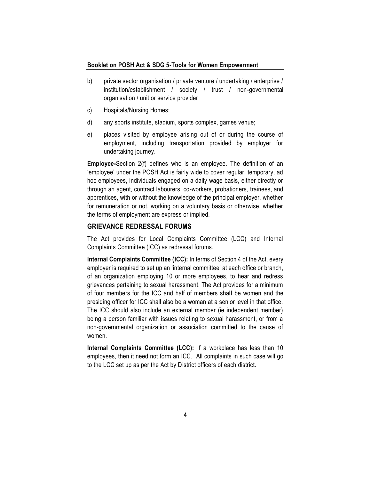- b) private sector organisation / private venture / undertaking / enterprise / institution/establishment / society / trust / non-governmental organisation / unit or service provider
- c) Hospitals/Nursing Homes;
- d) any sports institute, stadium, sports complex, games venue;
- e) places visited by employee arising out of or during the course of employment, including transportation provided by employer for undertaking journey.

**Employee-**Section 2(f) defines who is an employee. The definition of an 'employee' under the POSH Act is fairly wide to cover regular, temporary, ad hoc employees, individuals engaged on a daily wage basis, either directly or through an agent, contract labourers, co-workers, probationers, trainees, and apprentices, with or without the knowledge of the principal employer, whether for remuneration or not, working on a voluntary basis or otherwise, whether the terms of employment are express or implied.

#### **GRIEVANCE REDRESSAL FORUMS**

The Act provides for Local Complaints Committee (LCC) and Internal Complaints Committee (ICC) as redressal forums.

**Internal Complaints Committee (ICC):** In terms of Section 4 of the Act, every employer is required to set up an 'internal committee' at each office or branch, of an organization employing 10 or more employees, to hear and redress grievances pertaining to sexual harassment. The Act provides for a minimum of four members for the ICC and half of members shall be women and the presiding officer for ICC shall also be a woman at a senior level in that office. The ICC should also include an external member (ie independent member) being a person familiar with issues relating to sexual harassment, or from a non-governmental organization or association committed to the cause of women.

**Internal Complaints Committee (LCC):** If a workplace has less than 10 employees, then it need not form an ICC. All complaints in such case will go to the LCC set up as per the Act by District officers of each district.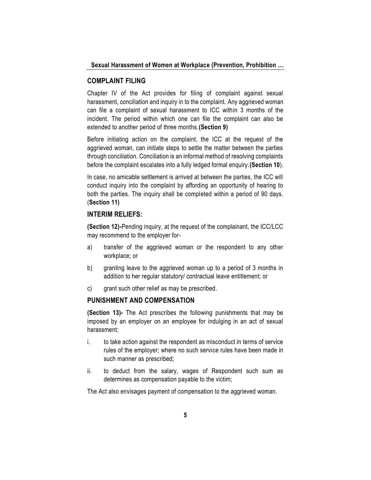#### **COMPLAINT FILING**

Chapter IV of the Act provides for filing of complaint against sexual harassment, conciliation and inquiry in to the complaint. Any aggrieved woman can file a complaint of sexual harassment to ICC within 3 months of the incident. The period within which one can file the complaint can also be extended to another period of three months.**(Section 9)**

Before initiating action on the complaint, the ICC at the request of the aggrieved woman, can initiate steps to settle the matter between the parties through conciliation. Conciliation is an informal method of resolving complaints before the complaint escalates into a fully ledged formal enquiry.**(Section 10**).

In case, no amicable settlement is arrived at between the parties, the ICC will conduct inquiry into the complaint by affording an opportunity of hearing to both the parties. The inquiry shall be completed within a period of 90 days. (**Section 11)**

#### **INTERIM RELIEFS:**

**(Section 12)-**Pending inquiry, at the request of the complainant, the ICC/LCC may recommend to the employer for-

- a) transfer of the aggrieved woman or the respondent to any other workplace; or
- b) granting leave to the aggrieved woman up to a period of 3 months in addition to her regular statutory/ contractual leave entitlement; or
- c) grant such other relief as may be prescribed.

#### **PUNISHMENT AND COMPENSATION**

**(Section 13)-** The Act prescribes the following punishments that may be imposed by an employer on an employee for indulging in an act of sexual harassment:

- i. to take action against the respondent as misconduct in terms of service rules of the employer; where no such service rules have been made in such manner as prescribed;
- ii. to deduct from the salary, wages of Respondent such sum as determines as compensation payable to the victim;

The Act also envisages payment of compensation to the aggrieved woman.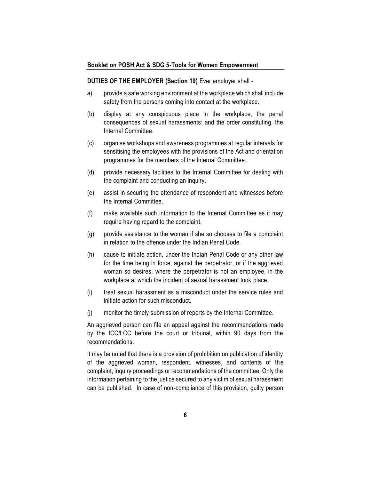#### **DUTIES OF THE EMPLOYER (Section 19)** Ever employer shall -

- a) provide a safe working environment at the workplace which shall include safety from the persons coming into contact at the workplace.
- (b) display at any conspicuous place in the workplace, the penal consequences of sexual harassments: and the order constituting, the Internal Committee.
- (c) organise workshops and awareness programmes at regular intervals for sensitising the employees with the provisions of the Act and orientation programmes for the members of the Internal Committee.
- (d) provide necessary facilities to the Internal Committee for dealing with the complaint and conducting an inquiry.
- (e) assist in securing the attendance of respondent and witnesses before the Internal Committee.
- (f) make available such information to the Internal Committee as it may require having regard to the complaint.
- (g) provide assistance to the woman if she so chooses to file a complaint in relation to the offence under the Indian Penal Code.
- (h) cause to initiate action, under the Indian Penal Code or any other law for the time being in force, against the perpetrator, or if the aggrieved woman so desires, where the perpetrator is not an employee, in the workplace at which the incident of sexual harassment took place.
- (i) treat sexual harassment as a misconduct under the service rules and initiate action for such misconduct.
- (j) monitor the timely submission of reports by the Internal Committee.

An aggrieved person can file an appeal against the recommendations made by the ICC/LCC before the court or tribunal, within 90 days from the recommendations.

It may be noted that there is a provision of prohibition on publication of identity of the aggrieved woman, respondent, witnesses, and contents of the complaint, inquiry proceedings or recommendations of the committee. Only the information pertaining to the justice secured to any victim of sexual harassment can be published. In case of non-compliance of this provision, guilty person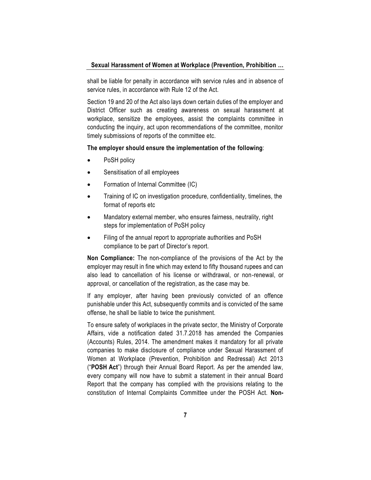shall be liable for penalty in accordance with service rules and in absence of service rules, in accordance with Rule 12 of the Act.

Section 19 and 20 of the Act also lays down certain duties of the employer and District Officer such as creating awareness on sexual harassment at workplace, sensitize the employees, assist the complaints committee in conducting the inquiry, act upon recommendations of the committee, monitor timely submissions of reports of the committee etc.

#### **The employer should ensure the implementation of the following**:

- PoSH policy
- Sensitisation of all employees
- Formation of Internal Committee (IC)
- Training of IC on investigation procedure, confidentiality, timelines, the format of reports etc
- Mandatory external member, who ensures fairness, neutrality, right steps for implementation of PoSH policy
- Filing of the annual report to appropriate authorities and PoSH compliance to be part of Director's report.

**Non Compliance:** The non-compliance of the provisions of the Act by the employer may result in fine which may extend to fifty thousand rupees and can also lead to cancellation of his license or withdrawal, or non-renewal, or approval, or cancellation of the registration, as the case may be.

If any employer, after having been previously convicted of an offence punishable under this Act, subsequently commits and is convicted of the same offense, he shall be liable to twice the punishment.

To ensure safety of workplaces in the private sector, the Ministry of Corporate Affairs, vide a notification dated 31.7.2018 has amended the Companies (Accounts) Rules, 2014. The amendment makes it mandatory for all private companies to make disclosure of compliance under Sexual Harassment of Women at Workplace (Prevention, Prohibition and Redressal) Act 2013 ("**POSH Act**") through their Annual Board Report. As per the amended law, every company will now have to submit a statement in their annual Board Report that the company has complied with the provisions relating to the constitution of Internal Complaints Committee under the POSH Act. **Non-**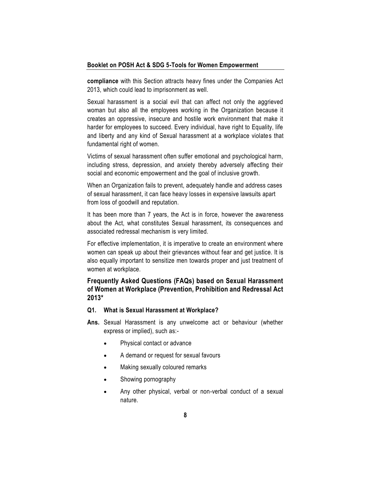**compliance** with this Section attracts heavy fines under the Companies Act 2013, which could lead to imprisonment as well.

Sexual harassment is a social evil that can affect not only the aggrieved woman but also all the employees working in the Organization because it creates an oppressive, insecure and hostile work environment that make it harder for employees to succeed. Every individual, have right to Equality, life and liberty and any kind of Sexual harassment at a workplace violates that fundamental right of women.

Victims of sexual harassment often suffer emotional and psychological harm, including stress, depression, and anxiety thereby adversely affecting their social and economic empowerment and the goal of inclusive growth.

When an Organization fails to prevent, adequately handle and address cases of sexual harassment, it can face heavy losses in expensive lawsuits apart from loss of goodwill and reputation.

It has been more than 7 years, the Act is in force, however the awareness about the Act, what constitutes Sexual harassment, its consequences and associated redressal mechanism is very limited.

For effective implementation, it is imperative to create an environment where women can speak up about their grievances without fear and get justice. It is also equally important to sensitize men towards proper and just treatment of women at workplace.

#### **Frequently Asked Questions (FAQs) based on Sexual Harassment of Women at Workplace (Prevention, Prohibition and Redressal Act 2013\***

#### **Q1. What is Sexual Harassment at Workplace?**

- **Ans.** Sexual Harassment is any unwelcome act or behaviour (whether express or implied), such as:-
	- Physical contact or advance
	- A demand or request for sexual favours
	- Making sexually coloured remarks
	- Showing pornography
	- Any other physical, verbal or non-verbal conduct of a sexual nature.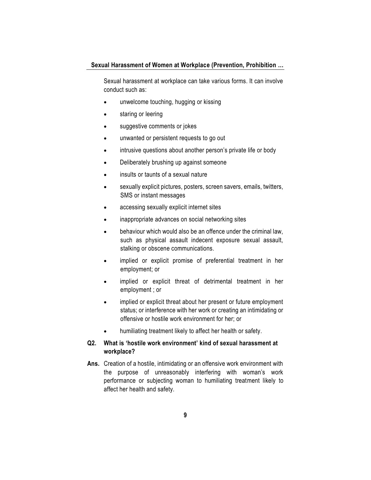Sexual harassment at workplace can take various forms. It can involve conduct such as:

- unwelcome touching, hugging or kissing
- staring or leering
- suggestive comments or jokes
- unwanted or persistent requests to go out
- intrusive questions about another person's private life or body
- Deliberately brushing up against someone
- insults or taunts of a sexual nature
- sexually explicit pictures, posters, screen savers, emails, twitters, SMS or instant messages
- accessing sexually explicit internet sites
- inappropriate advances on social networking sites
- behaviour which would also be an offence under the criminal law, such as physical assault indecent exposure sexual assault, stalking or obscene communications.
- implied or explicit promise of preferential treatment in her employment; or
- implied or explicit threat of detrimental treatment in her employment ; or
- implied or explicit threat about her present or future employment status; or interference with her work or creating an intimidating or offensive or hostile work environment for her; or
- humiliating treatment likely to affect her health or safety.

#### **Q2. What is ['hostile work environment' kind of sexual harassment at](http://www.shebox.nic.in/user/faq#collapse4)  [workplace?](http://www.shebox.nic.in/user/faq#collapse4)**

**Ans.** Creation of a hostile, intimidating or an offensive work environment with the purpose of unreasonably interfering with woman's work performance or subjecting woman to humiliating treatment likely to affect her health and safety.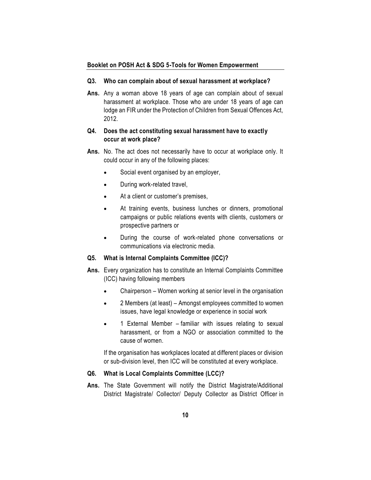#### **Q3. [Who can complain about of sexual harassment at workplace?](http://www.shebox.nic.in/user/faq#collapse6)**

**Ans.** Any a woman above 18 years of age can complain about of sexual harassment at workplace. Those who are under 18 years of age can lodge an FIR under the Protection of Children from Sexual Offences Act, 2012.

#### **Q4. [Does the act constituting sexual harassment have to exactly](http://www.shebox.nic.in/user/faq#collapse7)  [occur at work place?](http://www.shebox.nic.in/user/faq#collapse7)**

- **Ans.** No. The act does not necessarily have to occur at workplace only. It could occur in any of the following places:
	- Social event organised by an employer,
	- During work-related travel,
	- At a client or customer's premises,
	- At training events, business lunches or dinners, promotional campaigns or public relations events with clients, customers or prospective partners or
	- During the course of work-related phone conversations or communications via electronic media.

#### **Q5. [What is Internal Complaints Committee \(ICC\)?](http://www.shebox.nic.in/user/faq#collapse9)**

- **Ans.** Every organization has to constitute an Internal Complaints Committee (ICC) having following members
	- Chairperson Women working at senior level in the organisation
	- 2 Members (at least) Amongst employees committed to women issues, have legal knowledge or experience in social work
	- 1 External Member familiar with issues relating to sexual harassment, or from a NGO or association committed to the cause of women.

If the organisation has workplaces located at different places or division or sub-division level, then ICC will be constituted at every workplace.

#### **Q6. [What is Local Complaints Committee \(LCC\)?](http://www.shebox.nic.in/user/faq#collapse10)**

**Ans.** The State Government will notify the District Magistrate/Additional District Magistrate/ Collector/ Deputy Collector as District Officer in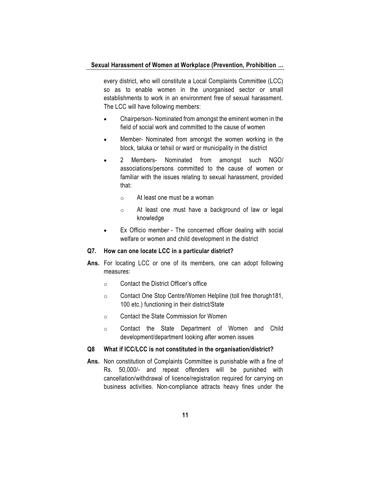every district, who will constitute a Local Complaints Committee (LCC) so as to enable women in the unorganised sector or small establishments to work in an environment free of sexual harassment. The LCC will have following members:

- Chairperson- Nominated from amongst the eminent women in the field of social work and committed to the cause of women
- Member- Nominated from amongst the women working in the block, taluka or tehsil or ward or municipality in the district
- 2 Members- Nominated from amongst such NGO/ associations/persons committed to the cause of women or familiar with the issues relating to sexual harassment, provided that:
	- o At least one must be a woman
	- o At least one must have a background of law or legal knowledge
- Ex Officio member The concerned officer dealing with social welfare or women and child development in the district

#### **Q7. [How can one locate LCC in a particular district?](http://www.shebox.nic.in/user/faq#collapse12)**

- **Ans.** For locating LCC or one of its members, one can adopt following measures:
	- o Contact the District Officer's office
	- o Contact One Stop Centre/Women Helpline (toll free thorugh181, 100 etc.) functioning in their district/State
	- o Contact the State Commission for Women
	- o Contact the State Department of Women and Child development/department looking after women issues

#### **Q8 [What if ICC/LCC is not constituted in the organisation/district?](http://www.shebox.nic.in/user/faq#collapse13)**

**Ans.** Non constitution of Complaints Committee is punishable with a fine of Rs. 50,000/- and repeat offenders will be punished with cancellation/withdrawal of licence/registration required for carrying on business activities. Non-compliance attracts heavy fines under the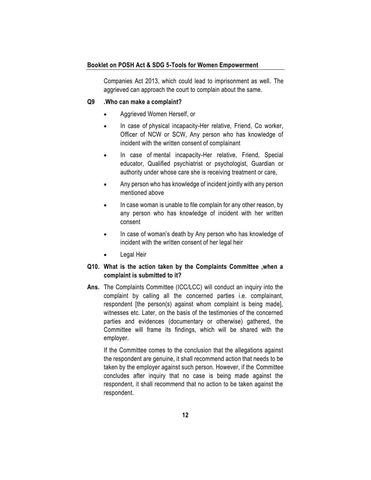Companies Act 2013, which could lead to imprisonment as well. The aggrieved can approach the court to complain about the same.

#### **Q9 [.Who can make a complaint?](http://www.shebox.nic.in/user/faq#collapse14)**

- Aggrieved Women Herself, or
- In case of physical incapacity-Her relative, Friend, Co worker, Officer of NCW or SCW, Any person who has knowledge of incident with the written consent of complainant
- In case of mental incapacity-Her relative, Friend, Special educator, Qualified psychiatrist or psychologist, Guardian or authority under whose care she is receiving treatment or care,
- Any person who has knowledge of incident jointly with any person mentioned above
- In case woman is unable to file complain for any other reason, by any person who has knowledge of incident with her written consent
- In case of woman's death by Any person who has knowledge of incident with the written consent of her legal heir
- Legal Heir

#### **Q10. [What is the action taken by the Complaints Committee ,when a](http://www.shebox.nic.in/user/faq#collapse16)  [complaint is submitted to it?](http://www.shebox.nic.in/user/faq#collapse16)**

**Ans.** The Complaints Committee (ICC/LCC) will conduct an inquiry into the complaint by calling all the concerned parties i.e. complainant, respondent [the person(s) against whom complaint is being made], witnesses etc. Later, on the basis of the testimonies of the concerned parties and evidences (documentary or otherwise) gathered, the Committee will frame its findings, which will be shared with the employer.

If the Committee comes to the conclusion that the allegations against the respondent are genuine, it shall recommend action that needs to be taken by the employer against such person. However, if the Committee concludes after inquiry that no case is being made against the respondent, it shall recommend that no action to be taken against the respondent.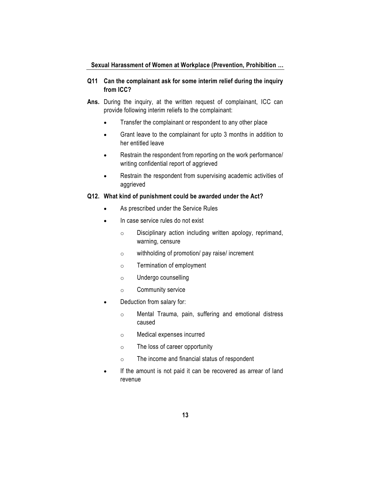#### **Q11 [Can the complainant ask for some interim relief during the inquiry](http://www.shebox.nic.in/user/faq#collapse17)  [from ICC?](http://www.shebox.nic.in/user/faq#collapse17)**

- **Ans.** During the inquiry, at the written request of complainant, ICC can provide following interim reliefs to the complainant:
	- Transfer the complainant or respondent to any other place
	- Grant leave to the complainant for upto 3 months in addition to her entitled leave
	- Restrain the respondent from reporting on the work performance/ writing confidential report of aggrieved
	- Restrain the respondent from supervising academic activities of aggrieved

#### **Q12. [What kind of punishment could be awarded under the Act?](http://www.shebox.nic.in/user/faq#collapse18)**

- As prescribed under the Service Rules
- In case service rules do not exist
	- o Disciplinary action including written apology, reprimand, warning, censure
	- o withholding of promotion/ pay raise/ increment
	- o Termination of employment
	- o Undergo counselling
	- o Community service
- Deduction from salary for:
	- o Mental Trauma, pain, suffering and emotional distress caused
	- o Medical expenses incurred
	- o The loss of career opportunity
	- o The income and financial status of respondent
- If the amount is not paid it can be recovered as arrear of land revenue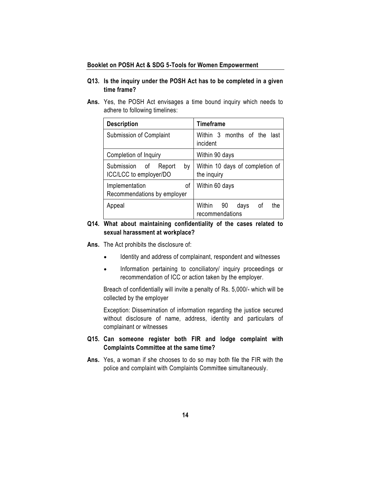#### **Q13***.* **[Is the inquiry under the POSH Act has to be completed in a given](http://www.shebox.nic.in/user/faq#collapse19)  [time frame?](http://www.shebox.nic.in/user/faq#collapse19)**

**Ans.** Yes, the POSH Act envisages a time bound inquiry which needs to adhere to following timelines:

| <b>Description</b>                                      | <b>Timeframe</b>                                     |  |  |
|---------------------------------------------------------|------------------------------------------------------|--|--|
| Submission of Complaint                                 | months of the last<br>Within 3<br>incident           |  |  |
| Completion of Inquiry                                   | Within 90 days                                       |  |  |
| Submission of<br>by<br>Report<br>ICC/LCC to employer/DO | Within 10 days of completion of<br>the inquiry       |  |  |
| οf<br>Implementation<br>Recommendations by employer     | Within 60 days                                       |  |  |
| Appeal                                                  | Within<br>the<br>90<br>days<br>οf<br>recommendations |  |  |

#### **Q14***.* **[What about maintaining confidentiality of the cases related to](http://www.shebox.nic.in/user/faq#collapse20)  [sexual harassment at workplace?](http://www.shebox.nic.in/user/faq#collapse20)**

- **Ans.** The Act prohibits the disclosure of:
	- Identity and address of complainant, respondent and witnesses
	- Information pertaining to conciliatory/ inquiry proceedings or recommendation of ICC or action taken by the employer.

Breach of confidentially will invite a penalty of Rs. 5,000/- which will be collected by the employer

Exception: Dissemination of information regarding the justice secured without disclosure of name, address, identity and particulars of complainant or witnesses

#### **Q15. [Can someone register both FIR and lodge complaint with](http://www.shebox.nic.in/user/faq#collapse22)  [Complaints Committee at the same time?](http://www.shebox.nic.in/user/faq#collapse22)**

**Ans.** Yes, a woman if she chooses to do so may both file the FIR with the police and complaint with Complaints Committee simultaneously.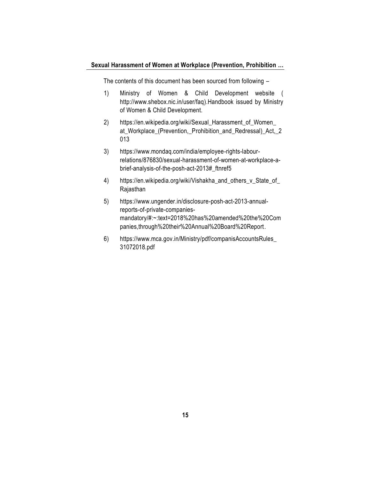The contents of this document has been sourced from following –

- 1) Ministry of Women & Child Development website ( [http://www.shebox.nic.in/user/faq\)](http://www.shebox.nic.in/user/faq).Handbook issued by Ministry of Women & Child Development.
- 2) [https://en.wikipedia.org/wiki/Sexual\\_Harassment\\_of\\_Women\\_](https://en.wikipedia.org/wiki/Sexual_Harassment_of_Women_) at Workplace (Prevention, Prohibition and Redressal) Act, 2 013
- 3) https://www.mondaq.com/india/employee-rights-labourrelations/876830/sexual-harassment-of-women-at-workplace-abrief-analysis-of-the-posh-act-2013#\_ftnref5
- 4) https://en.wikipedia.org/wiki/Vishakha and others v State of [Rajasthan](https://en.wikipedia.org/wiki/Vishakha_and_others_v_State_of_%20Rajasthan)
- 5) [https://www.ungender.in/disclosure-posh-act-2013-annual](https://www.ungender.in/disclosure-posh-act-2013-annual-reports-of-private-companies-mandatory/#:~:text=2018%20has%20amended%20the%20Companies,through%20their%20Annual%20Board%20Report)[reports-of-private-companies](https://www.ungender.in/disclosure-posh-act-2013-annual-reports-of-private-companies-mandatory/#:~:text=2018%20has%20amended%20the%20Companies,through%20their%20Annual%20Board%20Report)[mandatory/#:~:text=2018%20has%20amended%20the%20Com](https://www.ungender.in/disclosure-posh-act-2013-annual-reports-of-private-companies-mandatory/#:~:text=2018%20has%20amended%20the%20Companies,through%20their%20Annual%20Board%20Report) [panies,through%20their%20Annual%20Board%20Report.](https://www.ungender.in/disclosure-posh-act-2013-annual-reports-of-private-companies-mandatory/#:~:text=2018%20has%20amended%20the%20Companies,through%20their%20Annual%20Board%20Report)
- 6) [https://www.mca.gov.in/Ministry/pdf/companisAccountsRules\\_](https://www.mca.gov.in/Ministry/pdf/companisAccountsRules_%2031072018.pdf)  [31072018.pdf](https://www.mca.gov.in/Ministry/pdf/companisAccountsRules_%2031072018.pdf)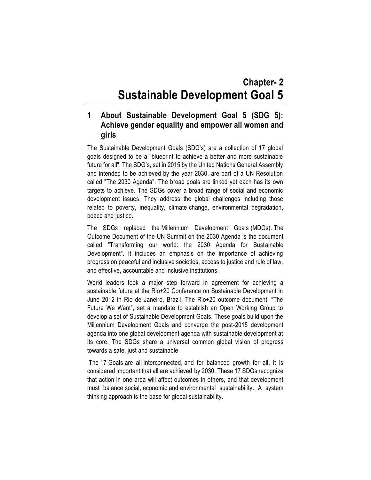## **Chapter- 2 Sustainable Development Goal 5**

## <span id="page-25-1"></span><span id="page-25-0"></span>**1 About Sustainable Development Goal 5 (SDG 5): Achieve gender equality and empower all women and girls**

The Sustainable Development Goals (SDG's) are a collection of 17 global goals designed to be a "blueprint to achieve a better and more sustainable future for all". The SDG's, set in 2015 by the United Nations General Assembly and intended to be achieved by the year 2030, are part of a UN Resolution called "The 2030 Agenda". The broad goals are linked yet each has its own targets to achieve. The SDGs cover a broad range of social and economic development issues. They address the global challenges including those related to poverty, inequality, climate change, environmental degradation, peace and justice.

The SDGs replaced the [Millennium Development Goals](https://en.wikipedia.org/wiki/Millennium_Development_Goals) (MDGs). The Outcome Document of the UN Summit on the [2030 Agenda](https://en.wikipedia.org/wiki/2030_Agenda) is the document called "Transforming our world: the 2030 Agenda for Sustainable Development". It includes an emphasis on the importance of achieving progress on peaceful and inclusive societies, access to justice and rule of law, and effective, accountable and inclusive institutions.

World leaders took a major step forward in agreement for achieving a sustainable future at the Rio+20 Conference on Sustainable Development in June 2012 in Rio de Janeiro, Brazil. The Rio+20 outcome document, "The Future We Want", set a mandate to establish an Open Working Group to develop a set of Sustainable Development Goals. These goals build upon the Millennium Development Goals and converge the post-2015 development agenda into one global development agenda with sustainable development at its core. The SDGs share a universal common global vision of progress towards a safe, just and sustainable

The 17 Goals are all interconnected, and for balanced growth for all, it is considered important that all are achieved by 2030. These 17 SDGs recognize that action in one area will affect outcomes in others, and that development must balance [social,](https://en.wikipedia.org/wiki/Social_issue) [economic](https://en.wikipedia.org/wiki/Economic) and [environmental sustainability.](https://en.wikipedia.org/wiki/Environmental_sustainability) A system thinking approach is the base for global sustainability.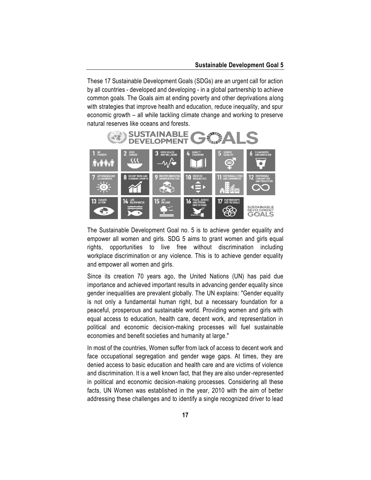#### **Sustainable Development Goal 5**

These 17 Sustainable Development Goals (SDGs) are an urgent call for action by all countries - developed and developing - in a global partnership to achieve common goals. The Goals aim at ending poverty and other deprivations along with strategies that improve health and education, reduce inequality, and spur economic growth – all while tackling climate change and working to preserve natural reserves like oceans and forests.



The Sustainable Development Goal no. 5 is to achieve gender equality and empower all women and girls. SDG 5 aims to grant women and girls [equal](https://en.wikipedia.org/wiki/Equal_rights_for_women)  [rights,](https://en.wikipedia.org/wiki/Equal_rights_for_women) opportunities to live free without discrimination including workplace [discrimination](https://en.wikipedia.org/wiki/Workplace_discrimination) or any violence. This is to achieve gender equality and empower all women and girls.

Since its creation 70 years ago, the United Nations (UN) has paid due importance and achieved important results in advancing gender equality since gender inequalities are prevalent globally. The [UN explains:](https://www.un.org/sustainabledevelopment/gender-equality/) "Gender equality is not only a fundamental human right, but a necessary foundation for a peaceful, prosperous and sustainable world. Providing women and girls with equal access to education, health care, decent work, and representation in political and economic decision-making processes will fuel sustainable economies and benefit societies and humanity at large."

In most of the countries, Women suffer from lack of access to decent work and face occupational segregation and gender wage gaps. At times, they are denied access to basic education and health care and are victims of violence and discrimination. It is a well known fact, that they are also under-represented in political and economic decision-making processes. Considering all these facts, UN Women was established in the year, 2010 with the aim of better addressing these challenges and to identify a single recognized driver to lead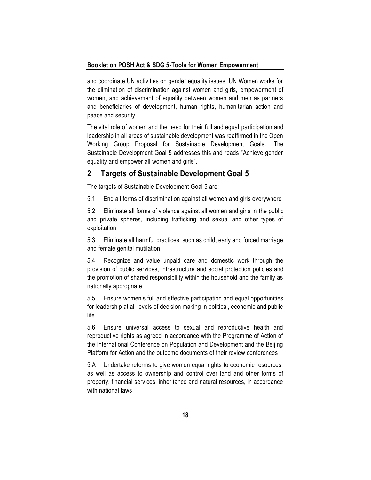and coordinate UN activities on gender equality issues. UN Women works for the elimination of discrimination against women and girls, empowerment of women, and achievement of equality between women and men as partners and beneficiaries of development, human rights, humanitarian action and peace and security.

The vital role of women and the need for their full and equal participation and leadership in all areas of sustainable development was reaffirmed in the Open Working Group Proposal for Sustainable Development Goals. The Sustainable Development Goal 5 addresses this and reads "Achieve gender equality and empower all women and girls".

### <span id="page-27-0"></span>**2 Targets of Sustainable Development Goal 5**

The targets of Sustainable Development Goal 5 are:

5.1 End all forms of discrimination against all women and girls everywhere

5.2 Eliminate all forms of violence against all women and girls in the public and private spheres, including trafficking and sexual and other types of exploitation

5.3 Eliminate all harmful practices, such as child, early and forced marriage and female genital mutilation

5.4 Recognize and value unpaid care and domestic work through the provision of public services, infrastructure and social protection policies and the promotion of shared responsibility within the household and the family as nationally appropriate

5.5 Ensure women's full and effective participation and equal opportunities for leadership at all levels of decision making in political, economic and public life

5.6 Ensure universal access to sexual and reproductive health and reproductive rights as agreed in accordance with the Programme of Action of the International Conference on Population and Development and the Beijing Platform for Action and the outcome documents of their review conferences

5.A Undertake reforms to give women equal rights to economic resources, as well as access to ownership and control over land and other forms of property, financial services, inheritance and natural resources, in accordance with national laws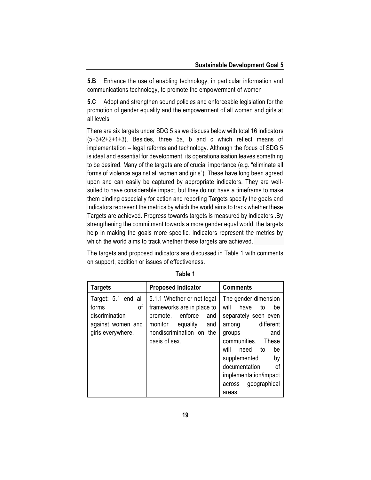**5.B** Enhance the use of enabling technology, in particular information and communications technology, to promote the empowerment of women

**5.C** Adopt and strengthen sound policies and enforceable legislation for the promotion of gender equality and the empowerment of all women and girls at all levels

There are six targets under SDG 5 as we discuss below with total 16 indicators (5+3+2+2+1+3). Besides, three 5a, b and c which reflect means of implementation – legal reforms and technology. Although the focus of SDG 5 is ideal and essential for development, its operationalisation leaves something to be desired. Many of the targets are of crucial importance (e.g. "eliminate all forms of violence against all women and girls"). These have long been agreed upon and can easily be captured by appropriate indicators. They are wellsuited to have considerable impact, but they do not have a timeframe to make them binding especially for action and reporting Targets specify the goals and Indicators represent the metrics by which the world aims to track whether these Targets are achieved. Progress towards targets is measured by indicators .By strengthening the commitment towards a more gender equal world, the targets help in making the goals more specific. Indicators represent the metrics by which the world aims to track whether these targets are achieved.

The targets and proposed indicators are discussed in Table 1 with comments on support, addition or issues of effectiveness.

| <b>Targets</b>                                                                                 | <b>Proposed Indicator</b>                                                                                                                                      | <b>Comments</b>                                                                                                                                                                                                                                                    |  |
|------------------------------------------------------------------------------------------------|----------------------------------------------------------------------------------------------------------------------------------------------------------------|--------------------------------------------------------------------------------------------------------------------------------------------------------------------------------------------------------------------------------------------------------------------|--|
| Target: 5.1 end all<br>forms<br>of<br>discrimination<br>against women and<br>girls everywhere. | 5.1.1 Whether or not legal<br>frameworks are in place to<br>promote, enforce<br>and<br>monitor<br>equality<br>and<br>nondiscrimination on the<br>basis of sex. | The gender dimension<br>will<br>have<br>to<br>be<br>separately seen even<br>among different<br>and<br>groups<br>communities. These<br>will<br>need to<br>be<br>supplemented<br>by<br>documentation<br>of<br>implementation/impact<br>across geographical<br>areas. |  |

**Table 1**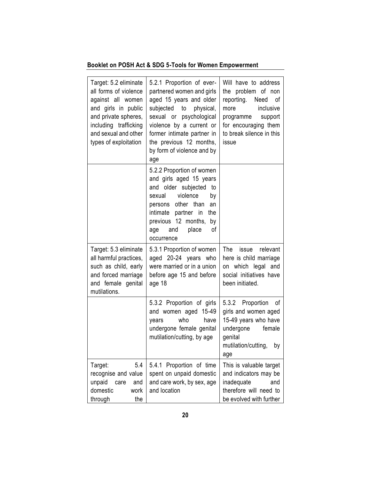| Target: 5.2 eliminate<br>all forms of violence<br>against all women<br>and girls in public<br>and private spheres,<br>including trafficking<br>and sexual and other<br>types of exploitation | 5.2.1 Proportion of ever-<br>partnered women and girls<br>aged 15 years and older<br>subjected to physical,<br>sexual or psychological<br>violence by a current or<br>former intimate partner in<br>the previous 12 months,<br>by form of violence and by<br>age | Will have to address<br>the problem of non<br>reporting.<br>Need<br>οf<br>more inclusive<br>programme support<br>for encouraging them<br>to break silence in this<br>issue |
|----------------------------------------------------------------------------------------------------------------------------------------------------------------------------------------------|------------------------------------------------------------------------------------------------------------------------------------------------------------------------------------------------------------------------------------------------------------------|----------------------------------------------------------------------------------------------------------------------------------------------------------------------------|
|                                                                                                                                                                                              | 5.2.2 Proportion of women<br>and girls aged 15 years<br>and older subjected<br>to<br>sexual violence<br>by<br>persons other than<br>an<br>intimate partner in<br>the<br>previous 12 months, by<br>age<br>and<br>place<br>οf<br>occurrence                        |                                                                                                                                                                            |
| Target: 5.3 eliminate<br>all harmful practices,<br>such as child, early<br>and forced marriage<br>and female genital<br>mutilations.                                                         | 5.3.1 Proportion of women<br>aged 20-24 years who<br>were married or in a union<br>before age 15 and before<br>age 18                                                                                                                                            | The issue relevant<br>here is child marriage<br>on which legal and<br>social initiatives have<br>been initiated.                                                           |
|                                                                                                                                                                                              | 5.3.2 Proportion of girls<br>and women aged 15-49<br>who<br>have<br>years<br>undergone female genital<br>mutilation/cutting, by age                                                                                                                              | 5.3.2 Proportion of<br>girls and women aged<br>15-49 years who have<br>undergone female<br>genital<br>mutilation/cutting,<br>by<br>age                                     |
| Target:<br>5.4<br>recognise and value<br>unpaid<br>and<br>care<br>domestic<br>work<br>through<br>the                                                                                         | 5.4.1 Proportion of time<br>spent on unpaid domestic<br>and care work, by sex, age<br>and location                                                                                                                                                               | This is valuable target<br>and indicators may be<br>inadequate<br>and<br>therefore will need to<br>be evolved with further                                                 |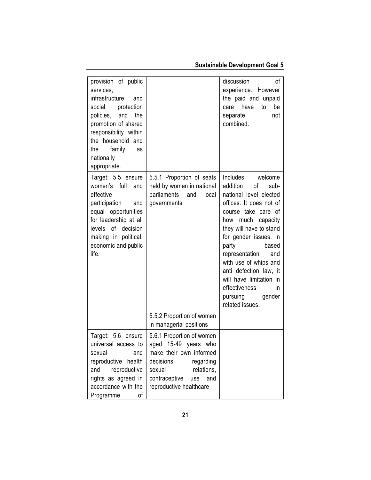## **Sustainable Development Goal 5**

| provision of public<br>services,<br>infrastructure<br>and<br>protection<br>social<br>policies, and<br>the<br>promotion of shared<br>responsibility within<br>the household and<br>family<br>the<br>as<br>nationally<br>appropriate. |                                                                                                                                                                                          | discussion<br>οf<br>experience. However<br>the paid and unpaid<br>have<br>care<br>to<br>be<br>not<br>separate<br>combined.                                                                                                                                                                                                                                                                |
|-------------------------------------------------------------------------------------------------------------------------------------------------------------------------------------------------------------------------------------|------------------------------------------------------------------------------------------------------------------------------------------------------------------------------------------|-------------------------------------------------------------------------------------------------------------------------------------------------------------------------------------------------------------------------------------------------------------------------------------------------------------------------------------------------------------------------------------------|
| Target: 5.5 ensure<br>women's full<br>and<br>effective<br>participation<br>and<br>equal opportunities<br>for leadership at all<br>levels of decision<br>making in political,<br>economic and public<br>life.                        | 5.5.1 Proportion of seats<br>held by women in national<br>parliaments and<br>local<br>governments                                                                                        | Includes welcome<br>addition<br>of<br>sub-<br>national level elected<br>offices. It does not of<br>course take care of<br>much capacity<br>how<br>they will have to stand<br>for gender issues. In<br>party<br>based<br>representation<br>and<br>with use of whips and<br>anti defection law, it<br>will have limitation in<br>effectiveness<br>in.<br>pursuing gender<br>related issues. |
|                                                                                                                                                                                                                                     | 5.5.2 Proportion of women<br>in managerial positions                                                                                                                                     |                                                                                                                                                                                                                                                                                                                                                                                           |
| Target: 5.6 ensure<br>universal access to<br>sexual<br>and<br>reproductive<br>health<br>reproductive<br>and<br>rights as agreed in<br>accordance with the<br>Programme<br>οf                                                        | 5.6.1 Proportion of women<br>aged 15-49 years who<br>make their own informed<br>decisions<br>regarding<br>relations,<br>sexual<br>contraceptive<br>and<br>use<br>reproductive healthcare |                                                                                                                                                                                                                                                                                                                                                                                           |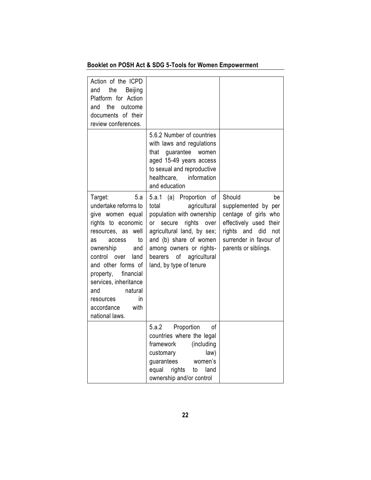| Action of the ICPD<br>the<br>Beijing<br>and<br>Platform for Action<br>the<br>outcome<br>and<br>documents of their<br>review conferences.                                                                                                                                                                                             |                                                                                                                                                                                                                                                                |                                                                                                                                                                        |
|--------------------------------------------------------------------------------------------------------------------------------------------------------------------------------------------------------------------------------------------------------------------------------------------------------------------------------------|----------------------------------------------------------------------------------------------------------------------------------------------------------------------------------------------------------------------------------------------------------------|------------------------------------------------------------------------------------------------------------------------------------------------------------------------|
|                                                                                                                                                                                                                                                                                                                                      | 5.6.2 Number of countries<br>with laws and regulations<br>that guarantee<br>women<br>aged 15-49 years access<br>to sexual and reproductive<br>healthcare, information<br>and education                                                                         |                                                                                                                                                                        |
| Target:<br>5.a<br>undertake reforms to<br>give women equal<br>rights to economic<br>resources, as<br>well<br>to<br>as<br>access<br>ownership<br>and<br>control<br>over<br>land<br>and other forms of<br>property,<br>financial<br>services, inheritance<br>natural<br>and<br>in<br>resources<br>accordance<br>with<br>national laws. | 5.a.1 (a) Proportion of<br>agricultural<br>total<br>population with ownership<br>rights<br>or<br>secure<br>over<br>agricultural land, by sex;<br>and (b) share of women<br>among owners or rights-<br>bearers<br>of<br>agricultural<br>land, by type of tenure | Should<br>be<br>supplemented by per<br>centage of girls who<br>effectively used their<br>and<br>did<br>rights<br>not<br>surrender in favour of<br>parents or siblings. |
|                                                                                                                                                                                                                                                                                                                                      | 5.a.2<br>Proportion<br>οf<br>countries where the legal<br>framework<br>(including<br>law)<br>customary<br>guarantees<br>women's<br>equal<br>rights<br>land<br>to<br>ownership and/or control                                                                   |                                                                                                                                                                        |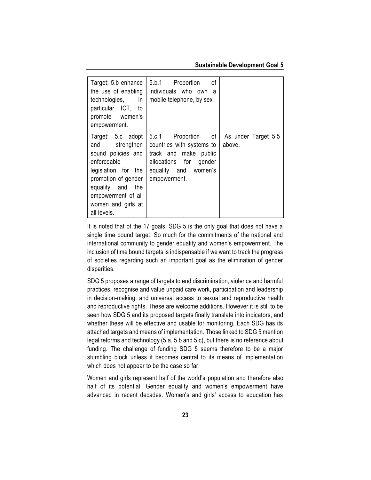#### **Sustainable Development Goal 5**

| Target: 5.b enhance<br>the use of enabling<br>technologies,<br>in<br>particular ICT, to<br>promote women's<br>empowerment.                                                                            | 5.b.1 Proportion<br>οf<br>individuals who own a<br>mobile telephone, by sex                                                                 |                               |
|-------------------------------------------------------------------------------------------------------------------------------------------------------------------------------------------------------|---------------------------------------------------------------------------------------------------------------------------------------------|-------------------------------|
| Target: 5.c adopt<br>and strengthen<br>sound policies and<br>enforceable<br>legislation for the<br>promotion of gender<br>equality and the<br>empowerment of all<br>women and girls at<br>all levels. | 5.c.1 Proportion of<br>countries with systems to<br>track and make public<br>allocations for gender<br>equality and women's<br>empowerment. | As under Target 5.5<br>above. |

It is noted that of the 17 goals, SDG 5 is the only goal that does not have a single time bound target. So much for the commitments of the national and international community to gender equality and women's empowerment. The inclusion of time bound targets is indispensable if we want to track the progress of societies regarding such an important goal as the elimination of gender disparities.

SDG 5 proposes a range of targets to end discrimination, violence and harmful practices, recognise and value unpaid care work, participation and leadership in decision-making, and universal access to sexual and reproductive health and reproductive rights. These are welcome additions. However it is still to be seen how SDG 5 and its proposed targets finally translate into indicators, and whether these will be effective and usable for monitoring. Each SDG has its attached targets and means of implementation. Those linked to SDG 5 mention legal reforms and technology (5.a, 5.b and 5.c), but there is no reference about funding. The challenge of funding SDG 5 seems therefore to be a major stumbling block unless it becomes central to its means of implementation which does not appear to be the case so far.

Women and girls represent half of the world's population and therefore also half of its potential. Gender equality and women's empowerment have advanced in recent decades. Women's and girls' access to education has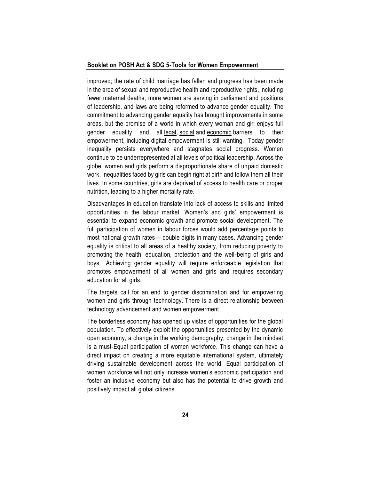improved; the rate of child marriage has fallen and progress has been made in the area of sexual and reproductive health and reproductive rights, including fewer maternal deaths, more women are serving in parliament and positions of leadership, and laws are being reformed to advance gender equality. The commitment to advancing gender equality has brought improvements in some areas, but the promise of a world in which every woman and girl enjoys full gender equality and all [legal,](https://en.wikipedia.org/wiki/Law) [social](https://en.wikipedia.org/wiki/Social) and [economic](https://en.wikipedia.org/wiki/Economic_inequality) barriers to their empowerment, including digital empowerment is still wanting. Today gender inequality persists everywhere and stagnates social progress. Women continue to be underrepresented at all levels of political leadership. Across the globe, women and girls perform a disproportionate share of unpaid domestic work. Inequalities faced by girls can begin right at birth and follow them all their lives. In some countries, girls are deprived of access to health care or proper nutrition, leading to a higher mortality rate.

Disadvantages in education translate into lack of access to skills and limited opportunities in the labour market. Women's and girls' empowerment is essential to expand economic growth and promote social development. The full participation of women in labour forces would add percentage points to most national growth rates— double digits in many cases. Advancing gender equality is critical to all areas of a healthy society, from reducing poverty to promoting the health, education, protection and the well-being of girls and boys. Achieving gender equality will require enforceable legislation that promotes empowerment of all women and girls and requires secondary education for all girls.

The targets call for an end to gender discrimination and for empowering women and girls through technology. There is a direct relationship between technology advancement and women empowerment.

The borderless economy has opened up vistas of opportunities for the global population. To effectively exploit the opportunities presented by the dynamic open economy, a change in the working demography, change in the mindset is a must-Equal participation of women workforce. This change can have a direct impact on creating a more equitable international system, ultimately driving sustainable development across the world. Equal participation of women workforce will not only increase women's economic participation and foster an inclusive economy but also has the potential to drive growth and positively impact all global citizens.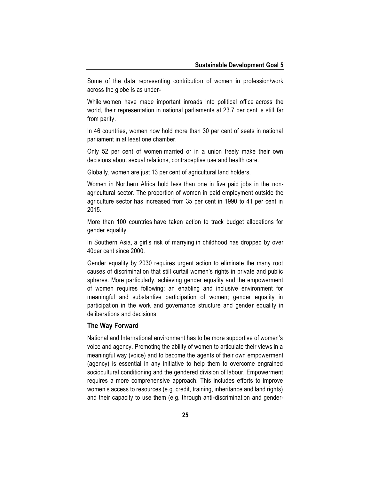Some of the data representing contribution of women in profession/work across the globe is as under-

While [women have made important inroads into political office](https://undocs.org/E/2017/66) across the world, their representation in national parliaments at 23.7 per cent is still far from parity.

[In 46 countries,](https://www.unwomen.org/~/media/headquarters/attachments/sections/library/publications/2013/12/un%20womenlgthembriefuswebrev2%20pdf.ashx) women now hold more than 30 per cent of seats in national parliament in at least one chamber.

[Only 52 per cent of women](https://undocs.org/E/2017/66) married or in a union freely make their own decisions about sexual relations, contraceptive use and health care.

Globally, [women are just 13 per cent](https://www.empowerwomen.org/-/media/files/un%20women/empowerwomen/resources/hlp%20briefs/unhlp%20full%20report.pdf?la=en) of agricultural land holders.

Women in Northern Africa hold less than one in five paid jobs in the nonagricultural sector. [The proportion of women in paid employment](http://www.fao.org/3/am307e/am307e00.pdf) outside the agriculture sector has increased from 35 per cent in 1990 to 41 per cent in 2015.

[More than 100 countries](http://www3.weforum.org/docs/WEF_GGGR_2020.pdf) have taken action to track budget allocations for gender equality.

In Southern Asia, [a girl's risk of marrying](https://www.unicef.org/media/files/Child_Marriage_Report_7_17_LR..pdf) in childhood has dropped by over 40per cent since 2000.

Gender equality by 2030 requires urgent action to eliminate the many root causes of discrimination that still curtail women's rights in private and public spheres. More particularly, achieving gender equality and the empowerment of women requires following: an enabling and inclusive environment for meaningful and substantive participation of women; gender equality in participation in the work and governance structure and gender equality in deliberations and decisions.

#### **The Way Forward**

National and International environment has to be more supportive of women's voice and agency. Promoting the ability of women to articulate their views in a meaningful way (voice) and to become the agents of their own empowerment (agency) is essential in any initiative to help them to overcome engrained sociocultural conditioning and the gendered division of labour. Empowerment requires a more comprehensive approach. This includes efforts to improve women's access to resources (e.g. credit, training, inheritance and land rights) and their capacity to use them (e.g. through anti-discrimination and gender-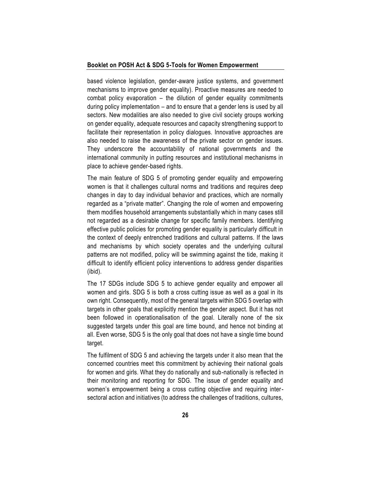based violence legislation, gender-aware justice systems, and government mechanisms to improve gender equality). Proactive measures are needed to combat policy evaporation – the dilution of gender equality commitments during policy implementation – and to ensure that a gender lens is used by all sectors. New modalities are also needed to give civil society groups working on gender equality, adequate resources and capacity strengthening support to facilitate their representation in policy dialogues. Innovative approaches are also needed to raise the awareness of the private sector on gender issues. They underscore the accountability of national governments and the international community in putting resources and institutional mechanisms in place to achieve gender-based rights.

The main feature of SDG 5 of promoting gender equality and empowering women is that it challenges cultural norms and traditions and requires deep changes in day to day individual behavior and practices, which are normally regarded as a "private matter". Changing the role of women and empowering them modifies household arrangements substantially which in many cases still not regarded as a desirable change for specific family members. Identifying effective public policies for promoting gender equality is particularly difficult in the context of deeply entrenched traditions and cultural patterns. If the laws and mechanisms by which society operates and the underlying cultural patterns are not modified, policy will be swimming against the tide, making it difficult to identify efficient policy interventions to address gender disparities (ibid).

The 17 SDGs include SDG 5 to achieve gender equality and empower all women and girls. SDG 5 is both a cross cutting issue as well as a goal in its own right. Consequently, most of the general targets within SDG 5 overlap with targets in other goals that explicitly mention the gender aspect. But it has not been followed in operationalisation of the goal. Literally none of the six suggested targets under this goal are time bound, and hence not binding at all. Even worse, SDG 5 is the only goal that does not have a single time bound target.

The fulfilment of SDG 5 and achieving the targets under it also mean that the concerned countries meet this commitment by achieving their national goals for women and girls. What they do nationally and sub-nationally is reflected in their monitoring and reporting for SDG. The issue of gender equality and women's empowerment being a cross cutting objective and requiring intersectoral action and initiatives (to address the challenges of traditions, cultures,